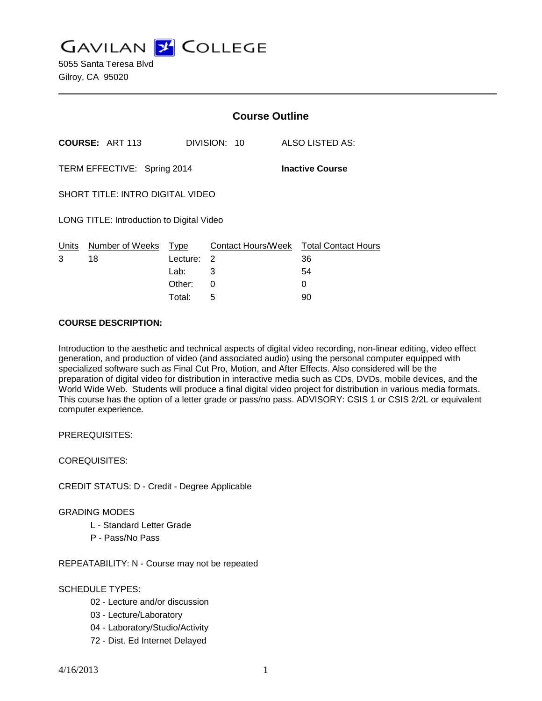**GAVILAN J' COLLEGE** 

5055 Santa Teresa Blvd Gilroy, CA 95020

|                                                       |                            | <b>Course Outline</b> |              |                                        |
|-------------------------------------------------------|----------------------------|-----------------------|--------------|----------------------------------------|
|                                                       | <b>COURSE: ART 113</b>     |                       | DIVISION: 10 | <b>ALSO LISTED AS:</b>                 |
| TERM EFFECTIVE: Spring 2014<br><b>Inactive Course</b> |                            |                       |              |                                        |
| <b>SHORT TITLE: INTRO DIGITAL VIDEO</b>               |                            |                       |              |                                        |
| LONG TITLE: Introduction to Digital Video             |                            |                       |              |                                        |
|                                                       | Units Number of Weeks Type |                       |              | Contact Hours/Week Total Contact Hours |
| 3                                                     | 18                         | Lecture: 2            |              | 36                                     |
|                                                       |                            | Lab:                  | 3            | 54                                     |
|                                                       |                            | Other:                | 0            | 0                                      |
|                                                       |                            | Total:                | 5            | 90                                     |

#### **COURSE DESCRIPTION:**

Introduction to the aesthetic and technical aspects of digital video recording, non-linear editing, video effect generation, and production of video (and associated audio) using the personal computer equipped with specialized software such as Final Cut Pro, Motion, and After Effects. Also considered will be the preparation of digital video for distribution in interactive media such as CDs, DVDs, mobile devices, and the World Wide Web. Students will produce a final digital video project for distribution in various media formats. This course has the option of a letter grade or pass/no pass. ADVISORY: CSIS 1 or CSIS 2/2L or equivalent computer experience.

PREREQUISITES:

COREQUISITES:

CREDIT STATUS: D - Credit - Degree Applicable

GRADING MODES

- L Standard Letter Grade
- P Pass/No Pass

REPEATABILITY: N - Course may not be repeated

## SCHEDULE TYPES:

- 02 Lecture and/or discussion
- 03 Lecture/Laboratory
- 04 Laboratory/Studio/Activity
- 72 Dist. Ed Internet Delayed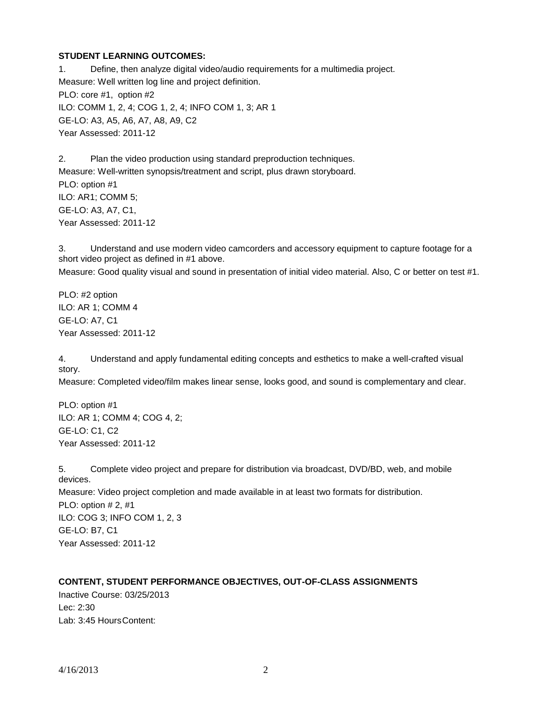### **STUDENT LEARNING OUTCOMES:**

1. Define, then analyze digital video/audio requirements for a multimedia project. Measure: Well written log line and project definition. PLO: core #1, option #2 ILO: COMM 1, 2, 4; COG 1, 2, 4; INFO COM 1, 3; AR 1 GE-LO: A3, A5, A6, A7, A8, A9, C2 Year Assessed: 2011-12

2. Plan the video production using standard preproduction techniques. Measure: Well-written synopsis/treatment and script, plus drawn storyboard. PLO: option #1 ILO: AR1; COMM 5; GE-LO: A3, A7, C1, Year Assessed: 2011-12

3. Understand and use modern video camcorders and accessory equipment to capture footage for a short video project as defined in #1 above. Measure: Good quality visual and sound in presentation of initial video material. Also, C or better on test #1.

PLO: #2 option ILO: AR 1; COMM 4 GE-LO: A7, C1 Year Assessed: 2011-12

4. Understand and apply fundamental editing concepts and esthetics to make a well-crafted visual story.

Measure: Completed video/film makes linear sense, looks good, and sound is complementary and clear.

PLO: option #1 ILO: AR 1; COMM 4; COG 4, 2; GE-LO: C1, C2 Year Assessed: 2011-12

5. Complete video project and prepare for distribution via broadcast, DVD/BD, web, and mobile devices. Measure: Video project completion and made available in at least two formats for distribution. PLO: option # 2, #1 ILO: COG 3; INFO COM 1, 2, 3 GE-LO: B7, C1 Year Assessed: 2011-12

## **CONTENT, STUDENT PERFORMANCE OBJECTIVES, OUT-OF-CLASS ASSIGNMENTS**

Inactive Course: 03/25/2013 Lec: 2:30 Lab: 3:45 HoursContent: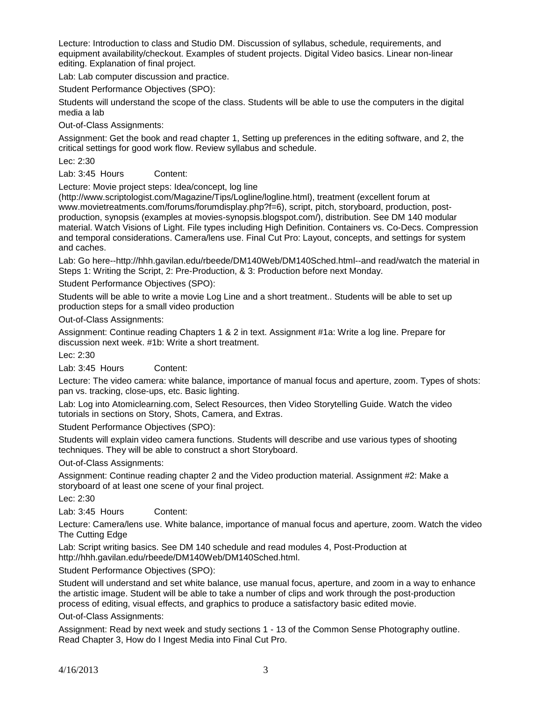Lecture: Introduction to class and Studio DM. Discussion of syllabus, schedule, requirements, and equipment availability/checkout. Examples of student projects. Digital Video basics. Linear non-linear editing. Explanation of final project.

Lab: Lab computer discussion and practice.

Student Performance Objectives (SPO):

Students will understand the scope of the class. Students will be able to use the computers in the digital media a lab

Out-of-Class Assignments:

Assignment: Get the book and read chapter 1, Setting up preferences in the editing software, and 2, the critical settings for good work flow. Review syllabus and schedule.

Lec: 2:30

Lab: 3:45 Hours Content:

Lecture: Movie project steps: Idea/concept, log line

(http://www.scriptologist.com/Magazine/Tips/Logline/logline.html), treatment (excellent forum at www.movietreatments.com/forums/forumdisplay.php?f=6), script, pitch, storyboard, production, postproduction, synopsis (examples at movies-synopsis.blogspot.com/), distribution. See DM 140 modular material. Watch Visions of Light. File types including High Definition. Containers vs. Co-Decs. Compression and temporal considerations. Camera/lens use. Final Cut Pro: Layout, concepts, and settings for system and caches.

Lab: Go here--http://hhh.gavilan.edu/rbeede/DM140Web/DM140Sched.html--and read/watch the material in Steps 1: Writing the Script, 2: Pre-Production, & 3: Production before next Monday.

Student Performance Objectives (SPO):

Students will be able to write a movie Log Line and a short treatment.. Students will be able to set up production steps for a small video production

Out-of-Class Assignments:

Assignment: Continue reading Chapters 1 & 2 in text. Assignment #1a: Write a log line. Prepare for discussion next week. #1b: Write a short treatment.

Lec: 2:30

Lab: 3:45 Hours Content:

Lecture: The video camera: white balance, importance of manual focus and aperture, zoom. Types of shots: pan vs. tracking, close-ups, etc. Basic lighting.

Lab: Log into Atomiclearning.com, Select Resources, then Video Storytelling Guide. Watch the video tutorials in sections on Story, Shots, Camera, and Extras.

Student Performance Objectives (SPO):

Students will explain video camera functions. Students will describe and use various types of shooting techniques. They will be able to construct a short Storyboard.

Out-of-Class Assignments:

Assignment: Continue reading chapter 2 and the Video production material. Assignment #2: Make a storyboard of at least one scene of your final project.

Lec: 2:30

Lab: 3:45 Hours Content:

Lecture: Camera/lens use. White balance, importance of manual focus and aperture, zoom. Watch the video The Cutting Edge

Lab: Script writing basics. See DM 140 schedule and read modules 4, Post-Production at http://hhh.gavilan.edu/rbeede/DM140Web/DM140Sched.html.

Student Performance Objectives (SPO):

Student will understand and set white balance, use manual focus, aperture, and zoom in a way to enhance the artistic image. Student will be able to take a number of clips and work through the post-production process of editing, visual effects, and graphics to produce a satisfactory basic edited movie.

Out-of-Class Assignments:

Assignment: Read by next week and study sections 1 - 13 of the Common Sense Photography outline. Read Chapter 3, How do I Ingest Media into Final Cut Pro.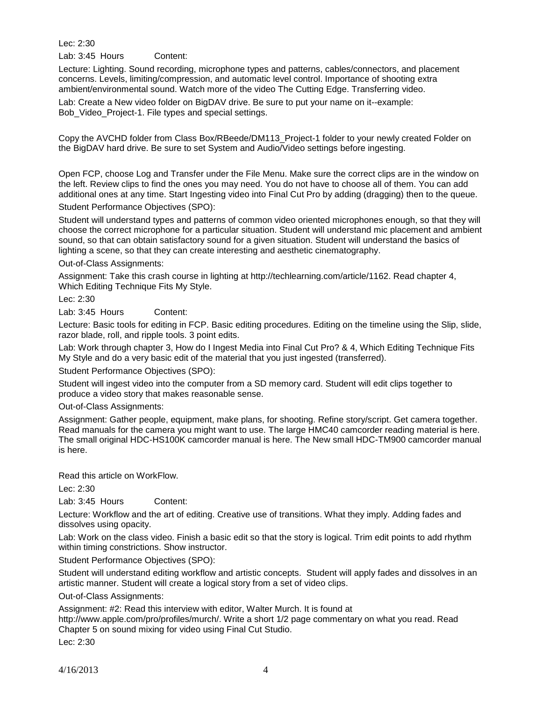Lec: 2:30

Lab: 3:45 Hours Content:

Lecture: Lighting. Sound recording, microphone types and patterns, cables/connectors, and placement concerns. Levels, limiting/compression, and automatic level control. Importance of shooting extra ambient/environmental sound. Watch more of the video The Cutting Edge. Transferring video.

Lab: Create a New video folder on BigDAV drive. Be sure to put your name on it--example: Bob\_Video\_Project-1. File types and special settings.

Copy the AVCHD folder from Class Box/RBeede/DM113\_Project-1 folder to your newly created Folder on the BigDAV hard drive. Be sure to set System and Audio/Video settings before ingesting.

Open FCP, choose Log and Transfer under the File Menu. Make sure the correct clips are in the window on the left. Review clips to find the ones you may need. You do not have to choose all of them. You can add additional ones at any time. Start Ingesting video into Final Cut Pro by adding (dragging) then to the queue.

Student Performance Objectives (SPO):

Student will understand types and patterns of common video oriented microphones enough, so that they will choose the correct microphone for a particular situation. Student will understand mic placement and ambient sound, so that can obtain satisfactory sound for a given situation. Student will understand the basics of lighting a scene, so that they can create interesting and aesthetic cinematography.

Out-of-Class Assignments:

Assignment: Take this crash course in lighting at http://techlearning.com/article/1162. Read chapter 4, Which Editing Technique Fits My Style.

Lec: 2:30

Lab: 3:45 Hours Content:

Lecture: Basic tools for editing in FCP. Basic editing procedures. Editing on the timeline using the Slip, slide, razor blade, roll, and ripple tools. 3 point edits.

Lab: Work through chapter 3, How do I Ingest Media into Final Cut Pro? & 4, Which Editing Technique Fits My Style and do a very basic edit of the material that you just ingested (transferred).

Student Performance Objectives (SPO):

Student will ingest video into the computer from a SD memory card. Student will edit clips together to produce a video story that makes reasonable sense.

Out-of-Class Assignments:

Assignment: Gather people, equipment, make plans, for shooting. Refine story/script. Get camera together. Read manuals for the camera you might want to use. The large HMC40 camcorder reading material is here. The small original HDC-HS100K camcorder manual is here. The New small HDC-TM900 camcorder manual is here.

Read this article on WorkFlow.

Lec: 2:30

Lab: 3:45 Hours Content:

Lecture: Workflow and the art of editing. Creative use of transitions. What they imply. Adding fades and dissolves using opacity.

Lab: Work on the class video. Finish a basic edit so that the story is logical. Trim edit points to add rhythm within timing constrictions. Show instructor.

Student Performance Objectives (SPO):

Student will understand editing workflow and artistic concepts. Student will apply fades and dissolves in an artistic manner. Student will create a logical story from a set of video clips.

Out-of-Class Assignments:

Assignment: #2: Read this interview with editor, Walter Murch. It is found at

http://www.apple.com/pro/profiles/murch/. Write a short 1/2 page commentary on what you read. Read Chapter 5 on sound mixing for video using Final Cut Studio.

Lec: 2:30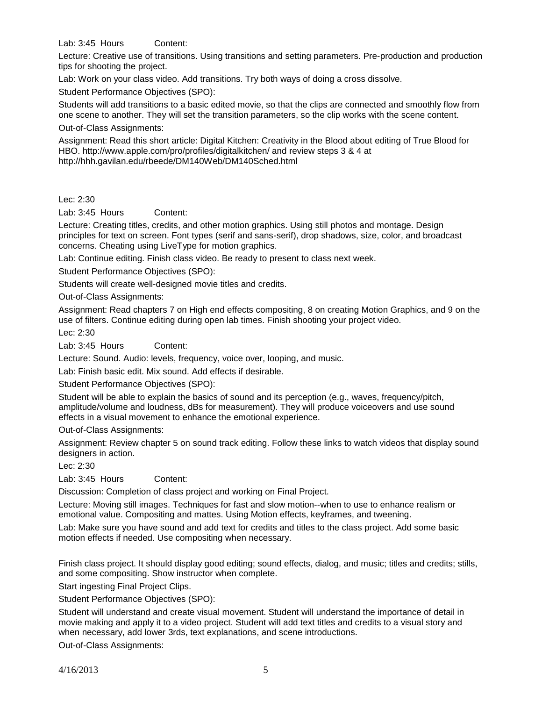Lab: 3:45 Hours Content:

Lecture: Creative use of transitions. Using transitions and setting parameters. Pre-production and production tips for shooting the project.

Lab: Work on your class video. Add transitions. Try both ways of doing a cross dissolve.

Student Performance Objectives (SPO):

Students will add transitions to a basic edited movie, so that the clips are connected and smoothly flow from one scene to another. They will set the transition parameters, so the clip works with the scene content.

Out-of-Class Assignments:

Assignment: Read this short article: Digital Kitchen: Creativity in the Blood about editing of True Blood for HBO. http://www.apple.com/pro/profiles/digitalkitchen/ and review steps 3 & 4 at http://hhh.gavilan.edu/rbeede/DM140Web/DM140Sched.html

### Lec: 2:30

Lab: 3:45 Hours Content:

Lecture: Creating titles, credits, and other motion graphics. Using still photos and montage. Design principles for text on screen. Font types (serif and sans-serif), drop shadows, size, color, and broadcast concerns. Cheating using LiveType for motion graphics.

Lab: Continue editing. Finish class video. Be ready to present to class next week.

Student Performance Objectives (SPO):

Students will create well-designed movie titles and credits.

Out-of-Class Assignments:

Assignment: Read chapters 7 on High end effects compositing, 8 on creating Motion Graphics, and 9 on the use of filters. Continue editing during open lab times. Finish shooting your project video.

Lec: 2:30

Lab: 3:45 Hours Content:

Lecture: Sound. Audio: levels, frequency, voice over, looping, and music.

Lab: Finish basic edit. Mix sound. Add effects if desirable.

Student Performance Objectives (SPO):

Student will be able to explain the basics of sound and its perception (e.g., waves, frequency/pitch, amplitude/volume and loudness, dBs for measurement). They will produce voiceovers and use sound effects in a visual movement to enhance the emotional experience.

Out-of-Class Assignments:

Assignment: Review chapter 5 on sound track editing. Follow these links to watch videos that display sound designers in action.

Lec: 2:30

Lab: 3:45 Hours Content:

Discussion: Completion of class project and working on Final Project.

Lecture: Moving still images. Techniques for fast and slow motion--when to use to enhance realism or emotional value. Compositing and mattes. Using Motion effects, keyframes, and tweening.

Lab: Make sure you have sound and add text for credits and titles to the class project. Add some basic motion effects if needed. Use compositing when necessary.

Finish class project. It should display good editing; sound effects, dialog, and music; titles and credits; stills, and some compositing. Show instructor when complete.

Start ingesting Final Project Clips.

Student Performance Objectives (SPO):

Student will understand and create visual movement. Student will understand the importance of detail in movie making and apply it to a video project. Student will add text titles and credits to a visual story and when necessary, add lower 3rds, text explanations, and scene introductions.

Out-of-Class Assignments: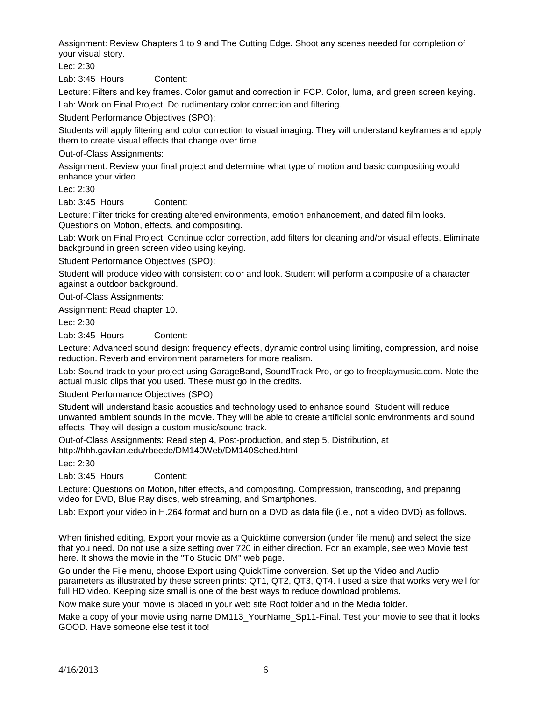Assignment: Review Chapters 1 to 9 and The Cutting Edge. Shoot any scenes needed for completion of your visual story.

Lec: 2:30

Lab: 3:45 Hours Content:

Lecture: Filters and key frames. Color gamut and correction in FCP. Color, luma, and green screen keying.

Lab: Work on Final Project. Do rudimentary color correction and filtering.

Student Performance Objectives (SPO):

Students will apply filtering and color correction to visual imaging. They will understand keyframes and apply them to create visual effects that change over time.

Out-of-Class Assignments:

Assignment: Review your final project and determine what type of motion and basic compositing would enhance your video.

Lec: 2:30

Lab: 3:45 Hours Content:

Lecture: Filter tricks for creating altered environments, emotion enhancement, and dated film looks. Questions on Motion, effects, and compositing.

Lab: Work on Final Project. Continue color correction, add filters for cleaning and/or visual effects. Eliminate background in green screen video using keying.

Student Performance Objectives (SPO):

Student will produce video with consistent color and look. Student will perform a composite of a character against a outdoor background.

Out-of-Class Assignments:

Assignment: Read chapter 10.

Lec: 2:30

Lab: 3:45 Hours Content:

Lecture: Advanced sound design: frequency effects, dynamic control using limiting, compression, and noise reduction. Reverb and environment parameters for more realism.

Lab: Sound track to your project using GarageBand, SoundTrack Pro, or go to freeplaymusic.com. Note the actual music clips that you used. These must go in the credits.

Student Performance Objectives (SPO):

Student will understand basic acoustics and technology used to enhance sound. Student will reduce unwanted ambient sounds in the movie. They will be able to create artificial sonic environments and sound effects. They will design a custom music/sound track.

Out-of-Class Assignments: Read step 4, Post-production, and step 5, Distribution, at http://hhh.gavilan.edu/rbeede/DM140Web/DM140Sched.html

Lec: 2:30

Lab: 3:45 Hours Content:

Lecture: Questions on Motion, filter effects, and compositing. Compression, transcoding, and preparing video for DVD, Blue Ray discs, web streaming, and Smartphones.

Lab: Export your video in H.264 format and burn on a DVD as data file (i.e., not a video DVD) as follows.

When finished editing, Export your movie as a Quicktime conversion (under file menu) and select the size that you need. Do not use a size setting over 720 in either direction. For an example, see web Movie test here. It shows the movie in the "To Studio DM" web page.

Go under the File menu, choose Export using QuickTime conversion. Set up the Video and Audio parameters as illustrated by these screen prints: QT1, QT2, QT3, QT4. I used a size that works very well for full HD video. Keeping size small is one of the best ways to reduce download problems.

Now make sure your movie is placed in your web site Root folder and in the Media folder.

Make a copy of your movie using name DM113 YourName Sp11-Final. Test your movie to see that it looks GOOD. Have someone else test it too!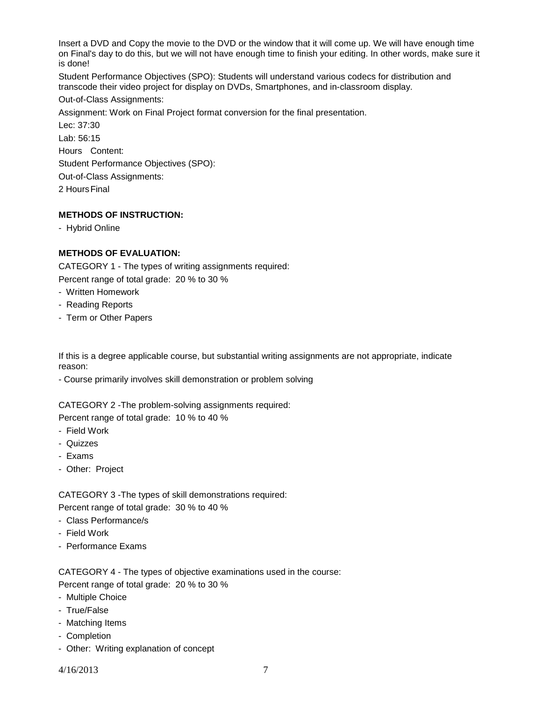Insert a DVD and Copy the movie to the DVD or the window that it will come up. We will have enough time on Final's day to do this, but we will not have enough time to finish your editing. In other words, make sure it is done!

Student Performance Objectives (SPO): Students will understand various codecs for distribution and transcode their video project for display on DVDs, Smartphones, and in-classroom display.

## Out-of-Class Assignments:

Assignment: Work on Final Project format conversion for the final presentation.

Lec: 37:30 Lab: 56:15 Hours Content: Student Performance Objectives (SPO): Out-of-Class Assignments:

2 HoursFinal

# **METHODS OF INSTRUCTION:**

- Hybrid Online

# **METHODS OF EVALUATION:**

CATEGORY 1 - The types of writing assignments required:

Percent range of total grade: 20 % to 30 %

- Written Homework
- Reading Reports
- Term or Other Papers

If this is a degree applicable course, but substantial writing assignments are not appropriate, indicate reason:

- Course primarily involves skill demonstration or problem solving

CATEGORY 2 -The problem-solving assignments required:

Percent range of total grade: 10 % to 40 %

- Field Work
- Quizzes
- Exams
- Other: Project

CATEGORY 3 -The types of skill demonstrations required: Percent range of total grade: 30 % to 40 %

- Class Performance/s
- Field Work
- Performance Exams

CATEGORY 4 - The types of objective examinations used in the course: Percent range of total grade: 20 % to 30 %

- Multiple Choice
- True/False
- Matching Items
- Completion
- Other: Writing explanation of concept